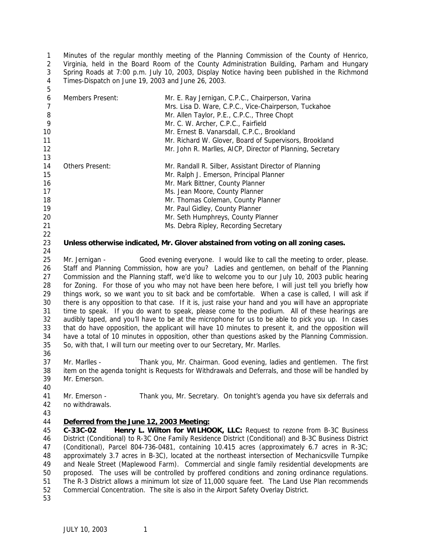Minutes of the regular monthly meeting of the Planning Commission of the County of Henrico, Virginia, held in the Board Room of the County Administration Building, Parham and Hungary Spring Roads at 7:00 p.m. July 10, 2003, Display Notice having been published in the Richmond Times-Dispatch on June 19, 2003 and June 26, 2003. 

| 6              | Members Present:                                                                                      | Mr. E. Ray Jernigan, C.P.C., Chairperson, Varina                                                   |  |  |
|----------------|-------------------------------------------------------------------------------------------------------|----------------------------------------------------------------------------------------------------|--|--|
| $\overline{7}$ |                                                                                                       | Mrs. Lisa D. Ware, C.P.C., Vice-Chairperson, Tuckahoe                                              |  |  |
| $\, 8$         |                                                                                                       | Mr. Allen Taylor, P.E., C.P.C., Three Chopt                                                        |  |  |
| 9              |                                                                                                       | Mr. C. W. Archer, C.P.C., Fairfield                                                                |  |  |
| 10             |                                                                                                       | Mr. Ernest B. Vanarsdall, C.P.C., Brookland                                                        |  |  |
| 11             |                                                                                                       | Mr. Richard W. Glover, Board of Supervisors, Brookland                                             |  |  |
| 12             |                                                                                                       | Mr. John R. Marlles, AICP, Director of Planning, Secretary                                         |  |  |
| 13             |                                                                                                       |                                                                                                    |  |  |
| 14             | Others Present:                                                                                       | Mr. Randall R. Silber, Assistant Director of Planning                                              |  |  |
| 15             |                                                                                                       | Mr. Ralph J. Emerson, Principal Planner                                                            |  |  |
| 16             |                                                                                                       | Mr. Mark Bittner, County Planner                                                                   |  |  |
| 17             |                                                                                                       | Ms. Jean Moore, County Planner                                                                     |  |  |
| 18             |                                                                                                       | Mr. Thomas Coleman, County Planner                                                                 |  |  |
| 19             |                                                                                                       | Mr. Paul Gidley, County Planner                                                                    |  |  |
| 20             |                                                                                                       | Mr. Seth Humphreys, County Planner                                                                 |  |  |
| 21             |                                                                                                       | Ms. Debra Ripley, Recording Secretary                                                              |  |  |
| 22             |                                                                                                       |                                                                                                    |  |  |
| 23             | Unless otherwise indicated, Mr. Glover abstained from voting on all zoning cases.                     |                                                                                                    |  |  |
| 24             |                                                                                                       |                                                                                                    |  |  |
| 25             | Mr. Jernigan -                                                                                        | Good evening everyone. I would like to call the meeting to order, please.                          |  |  |
| 26             | Staff and Planning Commission, how are you? Ladies and gentlemen, on behalf of the Planning           |                                                                                                    |  |  |
| 27             | Commission and the Planning staff, we'd like to welcome you to our July 10, 2003 public hearing       |                                                                                                    |  |  |
| 28             | for Zoning. For those of you who may not have been here before, I will just tell you briefly how      |                                                                                                    |  |  |
| 29             | things work, so we want you to sit back and be comfortable. When a case is called, I will ask if      |                                                                                                    |  |  |
| 30             | there is any opposition to that case. If it is, just raise your hand and you will have an appropriate |                                                                                                    |  |  |
| 31             |                                                                                                       | time to speak. If you do want to speak, please come to the podium. All of these hearings are       |  |  |
| 32             |                                                                                                       | audibly taped, and you'll have to be at the microphone for us to be able to pick you up. In cases  |  |  |
| 33             |                                                                                                       | that do have opposition, the applicant will have 10 minutes to present it, and the opposition will |  |  |
| 34             |                                                                                                       | have a total of 10 minutes in opposition, other than questions asked by the Planning Commission.   |  |  |
| 35             |                                                                                                       | So, with that, I will turn our meeting over to our Secretary, Mr. Marlles.                         |  |  |
| 36             |                                                                                                       |                                                                                                    |  |  |
| 37             | Mr. Marlles -                                                                                         | Thank you, Mr. Chairman. Good evening, ladies and gentlemen. The first                             |  |  |
| 38             | item on the agenda tonight is Requests for Withdrawals and Deferrals, and those will be handled by    |                                                                                                    |  |  |
| 39             | Mr. Emerson.                                                                                          |                                                                                                    |  |  |
| 40             |                                                                                                       |                                                                                                    |  |  |
| 41             | Mr. Emerson -                                                                                         | Thank you, Mr. Secretary. On tonight's agenda you have six deferrals and                           |  |  |
| 42             | no withdrawals.                                                                                       |                                                                                                    |  |  |
| 43             |                                                                                                       |                                                                                                    |  |  |
| 44             | Deferred from the June 12, 2003 Meeting:                                                              |                                                                                                    |  |  |
| 45             | Henry L. Wilton for WILHOOK, LLC: Request to rezone from B-3C Business<br>$C-33C-02$                  |                                                                                                    |  |  |
| 46             | District (Conditional) to R-3C One Family Residence District (Conditional) and B-3C Business District |                                                                                                    |  |  |
| 47             | (Conditional), Parcel 804-736-0481, containing 10.415 acres (approximately 6.7 acres in R-3C;         |                                                                                                    |  |  |
| 48             |                                                                                                       | approximately 3.7 acres in B-3C), located at the northeast intersection of Mechanicsville Turnpike |  |  |
| 49             |                                                                                                       | and Neale Street (Maplewood Farm). Commercial and single family residential developments are       |  |  |

 proposed. The uses will be controlled by proffered conditions and zoning ordinance regulations. The R-3 District allows a minimum lot size of 11,000 square feet. The Land Use Plan recommends Commercial Concentration. The site is also in the Airport Safety Overlay District.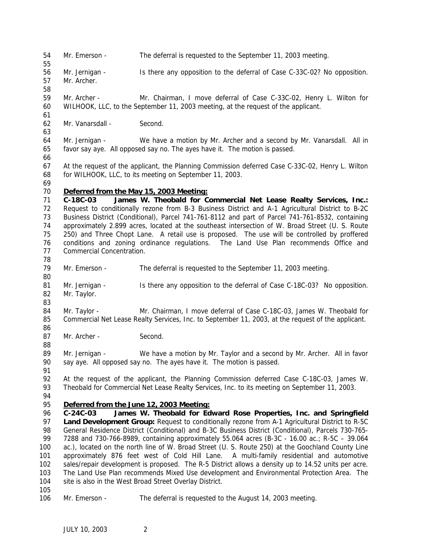Mr. Emerson - The deferral is requested to the September 11, 2003 meeting.

 Mr. Jernigan - Is there any opposition to the deferral of Case C-33C-02? No opposition. Mr. Archer.

 Mr. Archer - Mr. Chairman, I move deferral of Case C-33C-02, Henry L. Wilton for WILHOOK, LLC, to the September 11, 2003 meeting, at the request of the applicant.

Mr. Vanarsdall - Second.

 Mr. Jernigan - We have a motion by Mr. Archer and a second by Mr. Vanarsdall. All in favor say aye. All opposed say no. The ayes have it. The motion is passed. 

 At the request of the applicant, the Planning Commission deferred Case C-33C-02, Henry L. Wilton for WILHOOK, LLC, to its meeting on September 11, 2003.

## *Deferred from the May 15, 2003 Meeting:*

 **C-18C-03 James W. Theobald for Commercial Net Lease Realty Services, Inc.:** Request to conditionally rezone from B-3 Business District and A-1 Agricultural District to B-2C Business District (Conditional), Parcel 741-761-8112 and part of Parcel 741-761-8532, containing approximately 2.899 acres, located at the southeast intersection of W. Broad Street (U. S. Route 250) and Three Chopt Lane. A retail use is proposed. The use will be controlled by proffered conditions and zoning ordinance regulations. The Land Use Plan recommends Office and Commercial Concentration. 

- Mr. Emerson The deferral is requested to the September 11, 2003 meeting.
- 81 Mr. Jernigan Is there any opposition to the deferral of Case C-18C-03? No opposition. Mr. Taylor.
- Mr. Taylor Mr. Chairman, I move deferral of Case C-18C-03, James W. Theobald for Commercial Net Lease Realty Services, Inc. to September 11, 2003, at the request of the applicant.
- 87 Mr. Archer Second.

 Mr. Jernigan - We have a motion by Mr. Taylor and a second by Mr. Archer. All in favor say aye. All opposed say no. The ayes have it. The motion is passed.

 At the request of the applicant, the Planning Commission deferred Case C-18C-03, James W. Theobald for Commercial Net Lease Realty Services, Inc. to its meeting on September 11, 2003.

### *Deferred from the June 12, 2003 Meeting:*

 **C-24C-03 James W. Theobald for Edward Rose Properties, Inc. and Springfield Land Development Group:** Request to conditionally rezone from A-1 Agricultural District to R-5C General Residence District (Conditional) and B-3C Business District (Conditional), Parcels 730-765- 7288 and 730-766-8989, containing approximately 55.064 acres (B-3C - 16.00 ac.; R-5C – 39.064 ac.), located on the north line of W. Broad Street (U. S. Route 250) at the Goochland County Line approximately 876 feet west of Cold Hill Lane. A multi-family residential and automotive sales/repair development is proposed. The R-5 District allows a density up to 14.52 units per acre. The Land Use Plan recommends Mixed Use development and Environmental Protection Area. The site is also in the West Broad Street Overlay District.

Mr. Emerson - The deferral is requested to the August 14, 2003 meeting.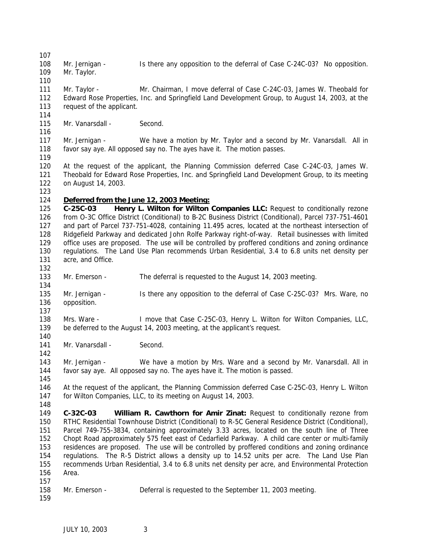Mr. Jernigan - Is there any opposition to the deferral of Case C-24C-03? No opposition. Mr. Taylor.

 Mr. Taylor - Mr. Chairman, I move deferral of Case C-24C-03, James W. Theobald for Edward Rose Properties, Inc. and Springfield Land Development Group, to August 14, 2003, at the request of the applicant.

115 Mr. Vanarsdall - Second.

117 Mr. Jernigan - We have a motion by Mr. Taylor and a second by Mr. Vanarsdall. All in favor say aye. All opposed say no. The ayes have it. The motion passes. 

 At the request of the applicant, the Planning Commission deferred Case C-24C-03, James W. Theobald for Edward Rose Properties, Inc. and Springfield Land Development Group, to its meeting on August 14, 2003.

## *Deferred from the June 12, 2003 Meeting:*

 **C-25C-03 Henry L. Wilton for Wilton Companies LLC:** Request to conditionally rezone from O-3C Office District (Conditional) to B-2C Business District (Conditional), Parcel 737-751-4601 and part of Parcel 737-751-4028, containing 11.495 acres, located at the northeast intersection of Ridgefield Parkway and dedicated John Rolfe Parkway right-of-way. Retail businesses with limited office uses are proposed. The use will be controlled by proffered conditions and zoning ordinance regulations. The Land Use Plan recommends Urban Residential, 3.4 to 6.8 units net density per 131 acre, and Office.

Mr. Emerson - The deferral is requested to the August 14, 2003 meeting.

- Mr. Jernigan Is there any opposition to the deferral of Case C-25C-03? Mrs. Ware, no opposition.
- Mrs. Ware I move that Case C-25C-03, Henry L. Wilton for Wilton Companies, LLC, be deferred to the August 14, 2003 meeting, at the applicant's request.
- 141 Mr. Vanarsdall Second.

 Mr. Jernigan - We have a motion by Mrs. Ware and a second by Mr. Vanarsdall. All in favor say aye. All opposed say no. The ayes have it. The motion is passed.

 At the request of the applicant, the Planning Commission deferred Case C-25C-03, Henry L. Wilton for Wilton Companies, LLC, to its meeting on August 14, 2003.

- **C-32C-03 William R. Cawthorn for Amir Zinat:** Request to conditionally rezone from RTHC Residential Townhouse District (Conditional) to R-5C General Residence District (Conditional), Parcel 749-755-3834, containing approximately 3.33 acres, located on the south line of Three Chopt Road approximately 575 feet east of Cedarfield Parkway. A child care center or multi-family residences are proposed. The use will be controlled by proffered conditions and zoning ordinance regulations. The R-5 District allows a density up to 14.52 units per acre. The Land Use Plan recommends Urban Residential, 3.4 to 6.8 units net density per acre, and Environmental Protection Area.
- Mr. Emerson Deferral is requested to the September 11, 2003 meeting.
-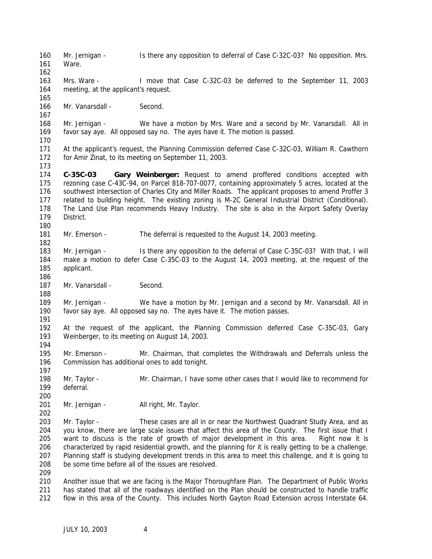Mr. Jernigan - Is there any opposition to deferral of Case C-32C-03? No opposition. Mrs. Ware. Mrs. Ware - I move that Case C-32C-03 be deferred to the September 11, 2003 meeting, at the applicant's request. Mr. Vanarsdall - Second. Mr. Jernigan - We have a motion by Mrs. Ware and a second by Mr. Vanarsdall. All in favor say aye. All opposed say no. The ayes have it. The motion is passed. At the applicant's request, the Planning Commission deferred Case C-32C-03, William R. Cawthorn for Amir Zinat, to its meeting on September 11, 2003. **C-35C-03 Gary Weinberger:** Request to amend proffered conditions accepted with rezoning case C-43C-94, on Parcel 818-707-0077, containing approximately 5 acres, located at the southwest intersection of Charles City and Miller Roads. The applicant proposes to amend Proffer 3 related to building height. The existing zoning is M-2C General Industrial District (Conditional). The Land Use Plan recommends Heavy Industry. The site is also in the Airport Safety Overlay District. Mr. Emerson - The deferral is requested to the August 14, 2003 meeting. 183 Mr. Jernigan - Is there any opposition to the deferral of Case C-35C-03? With that, I will make a motion to defer Case C-35C-03 to the August 14, 2003 meeting, at the request of the applicant. 187 Mr. Vanarsdall - Second. 189 Mr. Jernigan - We have a motion by Mr. Jernigan and a second by Mr. Vanarsdall. All in favor say aye. All opposed say no. The ayes have it. The motion passes. At the request of the applicant, the Planning Commission deferred Case C-35C-03, Gary Weinberger, to its meeting on August 14, 2003. 195 Mr. Emerson - Mr. Chairman, that completes the Withdrawals and Deferrals unless the Commission has additional ones to add tonight. Mr. Taylor - Mr. Chairman, I have some other cases that I would like to recommend for deferral. 201 Mr. Jernigan - All right, Mr. Taylor. Mr. Taylor - These cases are all in or near the Northwest Quadrant Study Area, and as you know, there are large scale issues that affect this area of the County. The first issue that I want to discuss is the rate of growth of major development in this area. Right now it is characterized by rapid residential growth, and the planning for it is really getting to be a challenge. Planning staff is studying development trends in this area to meet this challenge, and it is going to be some time before all of the issues are resolved. Another issue that we are facing is the Major Thoroughfare Plan. The Department of Public Works has stated that all of the roadways identified on the Plan should be constructed to handle traffic flow in this area of the County. This includes North Gayton Road Extension across Interstate 64.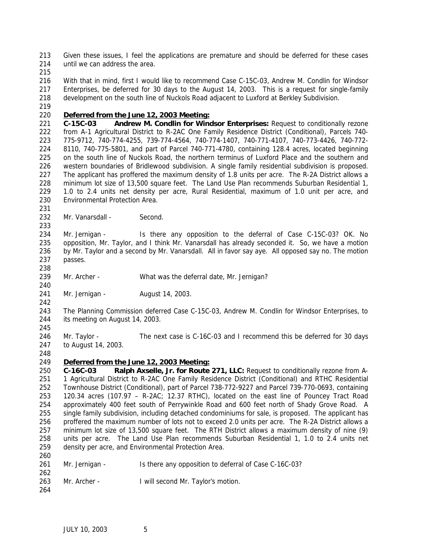Given these issues, I feel the applications are premature and should be deferred for these cases 214 until we can address the area.

 With that in mind, first I would like to recommend Case C-15C-03, Andrew M. Condlin for Windsor Enterprises, be deferred for 30 days to the August 14, 2003. This is a request for single-family development on the south line of Nuckols Road adjacent to Luxford at Berkley Subdivision.

### *Deferred from the June 12, 2003 Meeting:*

 **C-15C-03 Andrew M. Condlin for Windsor Enterprises:** Request to conditionally rezone from A-1 Agricultural District to R-2AC One Family Residence District (Conditional), Parcels 740- 775-9712, 740-774-4255, 739-774-4564, 740-774-1407, 740-771-4107, 740-773-4426, 740-772- 8110, 740-775-5801, and part of Parcel 740-771-4780, containing 128.4 acres, located beginning on the south line of Nuckols Road, the northern terminus of Luxford Place and the southern and western boundaries of Bridlewood subdivision. A single family residential subdivision is proposed. The applicant has proffered the maximum density of 1.8 units per acre. The R-2A District allows a minimum lot size of 13,500 square feet. The Land Use Plan recommends Suburban Residential 1, 1.0 to 2.4 units net density per acre, Rural Residential, maximum of 1.0 unit per acre, and Environmental Protection Area.

232 Mr. Vanarsdall - Second.

 Mr. Jernigan - Is there any opposition to the deferral of Case C-15C-03? OK. No opposition, Mr. Taylor, and I think Mr. Vanarsdall has already seconded it. So, we have a motion by Mr. Taylor and a second by Mr. Vanarsdall. All in favor say aye. All opposed say no. The motion passes.

Mr. Archer - What was the deferral date, Mr. Jernigan?

- Mr. Jernigan August 14, 2003.
- 

 The Planning Commission deferred Case C-15C-03, Andrew M. Condlin for Windsor Enterprises, to its meeting on August 14, 2003.

 Mr. Taylor - The next case is C-16C-03 and I recommend this be deferred for 30 days to August 14, 2003.

### *Deferred from the June 12, 2003 Meeting:*

 **C-16C-03 Ralph Axselle, Jr. for Route 271, LLC:** Request to conditionally rezone from A- 1 Agricultural District to R-2AC One Family Residence District (Conditional) and RTHC Residential Townhouse District (Conditional), part of Parcel 738-772-9227 and Parcel 739-770-0693, containing 120.34 acres (107.97 – R-2AC; 12.37 RTHC), located on the east line of Pouncey Tract Road approximately 400 feet south of Perrywinkle Road and 600 feet north of Shady Grove Road. A single family subdivision, including detached condominiums for sale, is proposed. The applicant has proffered the maximum number of lots not to exceed 2.0 units per acre. The R-2A District allows a minimum lot size of 13,500 square feet. The RTH District allows a maximum density of nine (9) units per acre. The Land Use Plan recommends Suburban Residential 1, 1.0 to 2.4 units net density per acre, and Environmental Protection Area.

| 261 | Mr. Jernigan - | Is there any opposition to deferral of Case C-16C-03? |
|-----|----------------|-------------------------------------------------------|
| 262 |                |                                                       |

- Mr. Archer I will second Mr. Taylor's motion.
-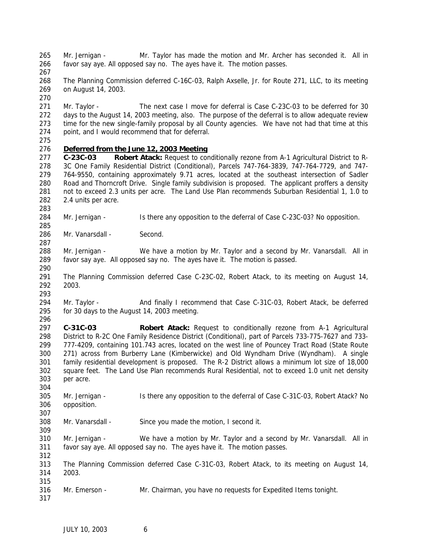Mr. Jernigan - Mr. Taylor has made the motion and Mr. Archer has seconded it. All in favor say aye. All opposed say no. The ayes have it. The motion passes.

 The Planning Commission deferred C-16C-03, Ralph Axselle, Jr. for Route 271, LLC, to its meeting on August 14, 2003.

 Mr. Taylor - The next case I move for deferral is Case C-23C-03 to be deferred for 30 days to the August 14, 2003 meeting, also. The purpose of the deferral is to allow adequate review time for the new single-family proposal by all County agencies. We have not had that time at this point, and I would recommend that for deferral.

# *Deferred from the June 12, 2003 Meeting*

 **C-23C-03 Robert Atack:** Request to conditionally rezone from A-1 Agricultural District to R- 3C One Family Residential District (Conditional), Parcels 747-764-3839, 747-764-7729, and 747- 764-9550, containing approximately 9.71 acres, located at the southeast intersection of Sadler Road and Thorncroft Drive. Single family subdivision is proposed. The applicant proffers a density not to exceed 2.3 units per acre. The Land Use Plan recommends Suburban Residential 1, 1.0 to 2.4 units per acre.

284 Mr. Jernigan - Is there any opposition to the deferral of Case C-23C-03? No opposition.

286 Mr. Vanarsdall - Second.

 Mr. Jernigan - We have a motion by Mr. Taylor and a second by Mr. Vanarsdall. All in favor say aye. All opposed say no. The ayes have it. The motion is passed.

 The Planning Commission deferred Case C-23C-02, Robert Atack, to its meeting on August 14, 2003.

 294 Mr. Taylor - And finally I recommend that Case C-31C-03, Robert Atack, be deferred for 30 days to the August 14, 2003 meeting.

 **C-31C-03 Robert Atack:** Request to conditionally rezone from A-1 Agricultural District to R-2C One Family Residence District (Conditional), part of Parcels 733-775-7627 and 733- 777-4209, containing 101.743 acres, located on the west line of Pouncey Tract Road (State Route 271) across from Burberry Lane (Kimberwicke) and Old Wyndham Drive (Wyndham). A single family residential development is proposed. The R-2 District allows a minimum lot size of 18,000 square feet. The Land Use Plan recommends Rural Residential, not to exceed 1.0 unit net density per acre.

 305 Mr. Jernigan - Is there any opposition to the deferral of Case C-31C-03, Robert Atack? No opposition.

 Mr. Vanarsdall - Since you made the motion, I second it.

 Mr. Jernigan - We have a motion by Mr. Taylor and a second by Mr. Vanarsdall. All in favor say aye. All opposed say no. The ayes have it. The motion passes.

 The Planning Commission deferred Case C-31C-03, Robert Atack, to its meeting on August 14, 2003. 

Mr. Emerson - Mr. Chairman, you have no requests for Expedited Items tonight.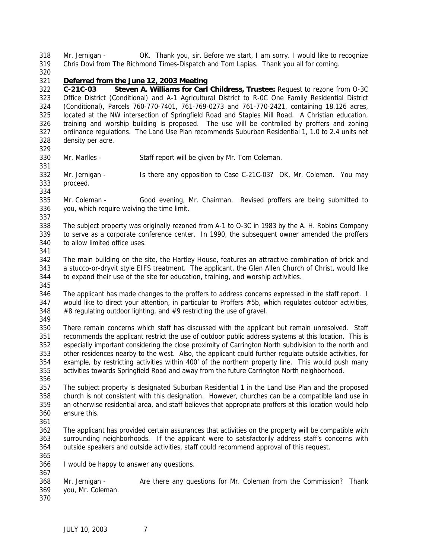Mr. Jernigan - OK. Thank you, sir. Before we start, I am sorry. I would like to recognize Chris Dovi from *The Richmond Times-Dispatch* and Tom Lapias. Thank you all for coming.

#### *Deferred from the June 12, 2003 Meeting*

 **C-21C-03 Steven A. Williams for Carl Childress, Trustee:** Request to rezone from O-3C Office District (Conditional) and A-1 Agricultural District to R-0C One Family Residential District (Conditional), Parcels 760-770-7401, 761-769-0273 and 761-770-2421, containing 18.126 acres, located at the NW intersection of Springfield Road and Staples Mill Road. A Christian education, training and worship building is proposed. The use will be controlled by proffers and zoning ordinance regulations. The Land Use Plan recommends Suburban Residential 1, 1.0 to 2.4 units net density per acre.

- Mr. Marlles Staff report will be given by Mr. Tom Coleman.
- Mr. Jernigan Is there any opposition to Case C-21C-03? OK, Mr. Coleman. You may proceed.
- Mr. Coleman Good evening, Mr. Chairman. Revised proffers are being submitted to you, which require waiving the time limit.
- The subject property was originally rezoned from A-1 to O-3C in 1983 by the A. H. Robins Company to serve as a corporate conference center. In 1990, the subsequent owner amended the proffers to allow limited office uses.
- 
- The main building on the site, the Hartley House, features an attractive combination of brick and a stucco-or-dryvit style EIFS treatment. The applicant, the Glen Allen Church of Christ, would like to expand their use of the site for education, training, and worship activities.
- The applicant has made changes to the proffers to address concerns expressed in the staff report. I would like to direct your attention, in particular to Proffers #5b, which regulates outdoor activities, #8 regulating outdoor lighting, and #9 restricting the use of gravel.
- 

 There remain concerns which staff has discussed with the applicant but remain unresolved. Staff recommends the applicant restrict the use of outdoor public address systems at this location. This is especially important considering the close proximity of Carrington North subdivision to the north and other residences nearby to the west. Also, the applicant could further regulate outside activities, for example, by restricting activities within 400' of the northern property line. This would push many activities towards Springfield Road and away from the future Carrington North neighborhood. 

 The subject property is designated Suburban Residential 1 in the Land Use Plan and the proposed church is not consistent with this designation. However, churches can be a compatible land use in an otherwise residential area, and staff believes that appropriate proffers at this location would help ensure this.

- The applicant has provided certain assurances that activities on the property will be compatible with surrounding neighborhoods. If the applicant were to satisfactorily address staff's concerns with outside speakers and outside activities, staff could recommend approval of this request.
- I would be happy to answer any questions.
- Mr. Jernigan Are there any questions for Mr. Coleman from the Commission? Thank you, Mr. Coleman.
-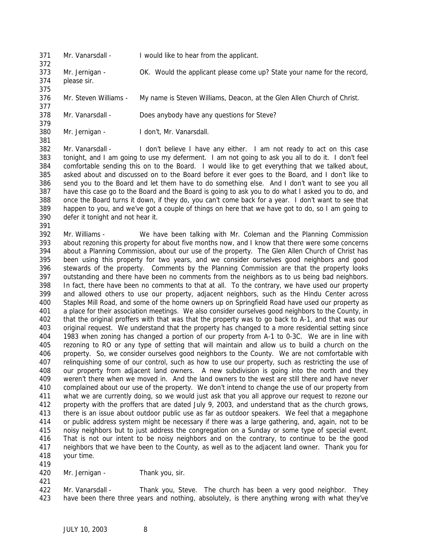- Mr. Vanarsdall I would like to hear from the applicant.
- Mr. Jernigan OK. Would the applicant please come up? State your name for the record, please sir.
- 
- Mr. Steven Williams My name is Steven Williams, Deacon, at the Glen Allen Church of Christ.
- Mr. Vanarsdall Does anybody have any questions for Steve?
- 

 Mr. Jernigan - I don't, Mr. Vanarsdall. 

 Mr. Vanarsdall - I don't believe I have any either. I am not ready to act on this case tonight, and I am going to use my deferment. I am not going to ask you all to do it. I don't feel comfortable sending this on to the Board. I would like to get everything that we talked about, asked about and discussed on to the Board before it ever goes to the Board, and I don't like to send you to the Board and let them have to do something else. And I don't want to see you all have this case go to the Board and the Board is going to ask you to do what I asked you to do, and once the Board turns it down, if they do, you can't come back for a year. I don't want to see that happen to you, and we've got a couple of things on here that we have got to do, so I am going to defer it tonight and not hear it.

- 
- Mr. Williams We have been talking with Mr. Coleman and the Planning Commission about rezoning this property for about five months now, and I know that there were some concerns about a Planning Commission, about our use of the property. The Glen Allen Church of Christ has been using this property for two years, and we consider ourselves good neighbors and good stewards of the property. Comments by the Planning Commission are that the property looks outstanding and there have been no comments from the neighbors as to us being bad neighbors. In fact, there have been no comments to that at all. To the contrary, we have used our property and allowed others to use our property, adjacent neighbors, such as the Hindu Center across Staples Mill Road, and some of the home owners up on Springfield Road have used our property as a place for their association meetings. We also consider ourselves good neighbors to the County, in that the original proffers with that was that the property was to go back to A-1, and that was our original request. We understand that the property has changed to a more residential setting since 1983 when zoning has changed a portion of our property from A-1 to 0-3C. We are in line with rezoning to RO or any type of setting that will maintain and allow us to build a church on the property. So, we consider ourselves good neighbors to the County. We are not comfortable with relinquishing some of our control, such as how to use our property, such as restricting the use of our property from adjacent land owners. A new subdivision is going into the north and they weren't there when we moved in. And the land owners to the west are still there and have never complained about our use of the property. We don't intend to change the use of our property from what we are currently doing, so we would just ask that you all approve our request to rezone our property with the proffers that are dated July 9, 2003, and understand that as the church grows, there is an issue about outdoor public use as far as outdoor speakers. We feel that a megaphone or public address system might be necessary if there was a large gathering, and, again, not to be noisy neighbors but to just address the congregation on a Sunday or some type of special event. That is not our intent to be noisy neighbors and on the contrary, to continue to be the good neighbors that we have been to the County, as well as to the adjacent land owner. Thank you for your time.
- 420 Mr. Jernigan Thank you, sir.
- 

 Mr. Vanarsdall - Thank you, Steve. The church has been a very good neighbor. They have been there three years and nothing, absolutely, is there anything wrong with what they've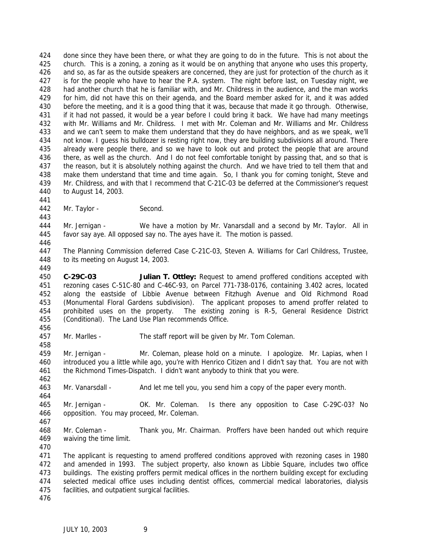done since they have been there, or what they are going to do in the future. This is not about the church. This is a zoning, a zoning as it would be on anything that anyone who uses this property, and so, as far as the outside speakers are concerned, they are just for protection of the church as it is for the people who have to hear the P.A. system. The night before last, on Tuesday night, we had another church that he is familiar with, and Mr. Childress in the audience, and the man works for him, did not have this on their agenda, and the Board member asked for it, and it was added before the meeting, and it is a good thing that it was, because that made it go through. Otherwise, if it had not passed, it would be a year before I could bring it back. We have had many meetings with Mr. Williams and Mr. Childress. I met with Mr. Coleman and Mr. Williams and Mr. Childress and we can't seem to make them understand that they do have neighbors, and as we speak, we'll not know. I guess his bulldozer is resting right now, they are building subdivisions all around. There already were people there, and so we have to look out and protect the people that are around there, as well as the church. And I do not feel comfortable tonight by passing that, and so that is the reason, but it is absolutely nothing against the church. And we have tried to tell them that and make them understand that time and time again. So, I thank you for coming tonight, Steve and Mr. Childress, and with that I recommend that C-21C-03 be deferred at the Commissioner's request to August 14, 2003.

Mr. Taylor - Second.

 Mr. Jernigan - We have a motion by Mr. Vanarsdall and a second by Mr. Taylor. All in favor say aye. All opposed say no. The ayes have it. The motion is passed.

 The Planning Commission deferred Case C-21C-03, Steven A. Williams for Carl Childress, Trustee, to its meeting on August 14, 2003.

 **C-29C-03 Julian T. Ottley:** Request to amend proffered conditions accepted with rezoning cases C-51C-80 and C-46C-93, on Parcel 771-738-0176, containing 3.402 acres, located along the eastside of Libbie Avenue between Fitzhugh Avenue and Old Richmond Road (Monumental Floral Gardens subdivision). The applicant proposes to amend proffer related to prohibited uses on the property. The existing zoning is R-5, General Residence District (Conditional). The Land Use Plan recommends Office.

Mr. Marlles - The staff report will be given by Mr. Tom Coleman.

 Mr. Jernigan - Mr. Coleman, please hold on a minute. I apologize. Mr. Lapias, when I introduced you a little while ago, you're with *Henrico Citizen* and I didn't say that. You are not with the *Richmond Times-Dispatch*. I didn't want anybody to think that you were.

Mr. Vanarsdall - And let me tell you, you send him a copy of the paper every month.

 Mr. Jernigan - OK. Mr. Coleman. Is there any opposition to Case C-29C-03? No opposition. You may proceed, Mr. Coleman.

 Mr. Coleman - Thank you, Mr. Chairman. Proffers have been handed out which require waiving the time limit.

 The applicant is requesting to amend proffered conditions approved with rezoning cases in 1980 and amended in 1993. The subject property, also known as Libbie Square, includes two office buildings. The existing proffers permit medical offices in the northern building except for excluding selected medical office uses including dentist offices, commercial medical laboratories, dialysis facilities, and outpatient surgical facilities.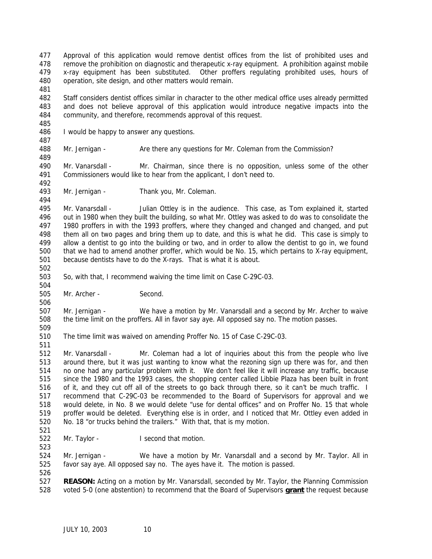Approval of this application would remove dentist offices from the list of prohibited uses and remove the prohibition on diagnostic and therapeutic x-ray equipment. A prohibition against mobile x-ray equipment has been substituted. Other proffers regulating prohibited uses, hours of operation, site design, and other matters would remain.

 Staff considers dentist offices similar in character to the other medical office uses already permitted and does not believe approval of this application would introduce negative impacts into the community, and therefore, recommends approval of this request.

- I would be happy to answer any questions.
- 

Mr. Jernigan - Are there any questions for Mr. Coleman from the Commission?

 Mr. Vanarsdall - Mr. Chairman, since there is no opposition, unless some of the other Commissioners would like to hear from the applicant, I don't need to.

Mr. Jernigan - Thank you, Mr. Coleman.

495 Mr. Vanarsdall - Julian Ottley is in the audience. This case, as Tom explained it, started out in 1980 when they built the building, so what Mr. Ottley was asked to do was to consolidate the 1980 proffers in with the 1993 proffers, where they changed and changed and changed, and put them all on two pages and bring them up to date, and this is what he did. This case is simply to allow a dentist to go into the building or two, and in order to allow the dentist to go in, we found that we had to amend another proffer, which would be No. 15, which pertains to X-ray equipment, because dentists have to do the X-rays. That is what it is about.

- So, with that, I recommend waiving the time limit on Case C-29C-03.
- 

Mr. Archer - Second.

 Mr. Jernigan - We have a motion by Mr. Vanarsdall and a second by Mr. Archer to waive the time limit on the proffers. All in favor say aye. All opposed say no. The motion passes.

The time limit was waived on amending Proffer No. 15 of Case C-29C-03.

 Mr. Vanarsdall - Mr. Coleman had a lot of inquiries about this from the people who live around there, but it was just wanting to know what the rezoning sign up there was for, and then no one had any particular problem with it. We don't feel like it will increase any traffic, because since the 1980 and the 1993 cases, the shopping center called Libbie Plaza has been built in front of it, and they cut off all of the streets to go back through there, so it can't be much traffic. I recommend that C-29C-03 be recommended to the Board of Supervisors for approval and we would delete, in No. 8 we would delete "use for dental offices" and on Proffer No. 15 that whole proffer would be deleted. Everything else is in order, and I noticed that Mr. Ottley even added in No. 18 "or trucks behind the trailers." With that, that is my motion.

Mr. Taylor - I second that motion.

 Mr. Jernigan - We have a motion by Mr. Vanarsdall and a second by Mr. Taylor. All in favor say aye. All opposed say no. The ayes have it. The motion is passed.

 **REASON:** Acting on a motion by Mr. Vanarsdall, seconded by Mr. Taylor, the Planning Commission voted 5-0 (one abstention) to recommend that the Board of Supervisors **grant** the request because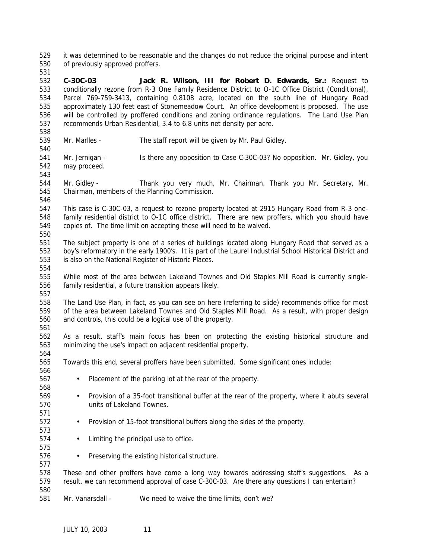it was determined to be reasonable and the changes do not reduce the original purpose and intent of previously approved proffers.

 **C-30C-03 Jack R. Wilson, III for Robert D. Edwards, Sr.:** Request to conditionally rezone from R-3 One Family Residence District to O-1C Office District (Conditional), Parcel 769-759-3413, containing 0.8108 acre, located on the south line of Hungary Road approximately 130 feet east of Stonemeadow Court. An office development is proposed. The use will be controlled by proffered conditions and zoning ordinance regulations. The Land Use Plan recommends Urban Residential, 3.4 to 6.8 units net density per acre.

- Mr. Marlles The staff report will be given by Mr. Paul Gidley.
- Mr. Jernigan Is there any opposition to Case C-30C-03? No opposition. Mr. Gidley, you may proceed.
- 

 Mr. Gidley - Thank you very much, Mr. Chairman. Thank you Mr. Secretary, Mr. Chairman, members of the Planning Commission.

 This case is C-30C-03, a request to rezone property located at 2915 Hungary Road from R-3 one- family residential district to O-1C office district. There are new proffers, which you should have copies of. The time limit on accepting these will need to be waived.

 The subject property is one of a series of buildings located along Hungary Road that served as a boy's reformatory in the early 1900's. It is part of the Laurel Industrial School Historical District and is also on the National Register of Historic Places.

 While most of the area between Lakeland Townes and Old Staples Mill Road is currently single- family residential, a future transition appears likely. 

 The Land Use Plan, in fact, as you can see on here (referring to slide) recommends office for most of the area between Lakeland Townes and Old Staples Mill Road. As a result, with proper design and controls, this could be a logical use of the property. 

 As a result, staff's main focus has been on protecting the existing historical structure and minimizing the use's impact on adjacent residential property. 

- Towards this end, several proffers have been submitted. Some significant ones include:
- Placement of the parking lot at the rear of the property.
- Provision of a 35-foot transitional buffer at the rear of the property, where it abuts several units of Lakeland Townes.
- Provision of 15-foot transitional buffers along the sides of the property.
- 574 Limiting the principal use to office.
- Preserving the existing historical structure.

 These and other proffers have come a long way towards addressing staff's suggestions. As a result, we can recommend approval of case C-30C-03. Are there any questions I can entertain? 

Mr. Vanarsdall - We need to waive the time limits, don't we?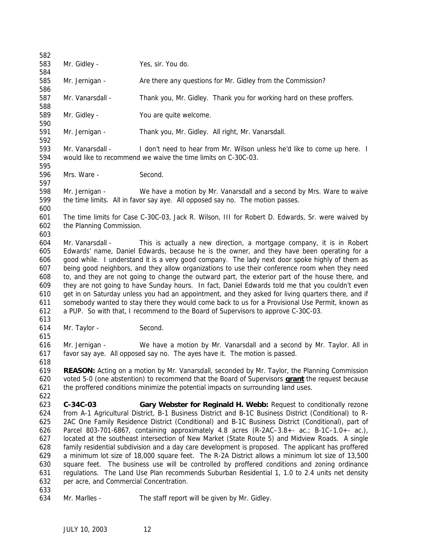| 582        |                                                                                                    |                                                                                                        |  |  |
|------------|----------------------------------------------------------------------------------------------------|--------------------------------------------------------------------------------------------------------|--|--|
| 583        | Mr. Gidley -                                                                                       | Yes, sir. You do.                                                                                      |  |  |
| 584<br>585 | Mr. Jernigan -                                                                                     | Are there any questions for Mr. Gidley from the Commission?                                            |  |  |
| 586<br>587 | Mr. Vanarsdall -                                                                                   | Thank you, Mr. Gidley. Thank you for working hard on these proffers.                                   |  |  |
| 588        |                                                                                                    |                                                                                                        |  |  |
| 589<br>590 | Mr. Gidley -                                                                                       | You are quite welcome.                                                                                 |  |  |
| 591<br>592 | Mr. Jernigan -                                                                                     | Thank you, Mr. Gidley. All right, Mr. Vanarsdall.                                                      |  |  |
| 593        | Mr. Vanarsdall -                                                                                   | I don't need to hear from Mr. Wilson unless he'd like to come up here. I                               |  |  |
| 594<br>595 | would like to recommend we waive the time limits on C-30C-03.                                      |                                                                                                        |  |  |
| 596<br>597 | Mrs. Ware -                                                                                        | Second.                                                                                                |  |  |
| 598        | Mr. Jernigan -                                                                                     | We have a motion by Mr. Vanarsdall and a second by Mrs. Ware to waive                                  |  |  |
| 599<br>600 | the time limits. All in favor say aye. All opposed say no. The motion passes.                      |                                                                                                        |  |  |
| 601        |                                                                                                    | The time limits for Case C-30C-03, Jack R. Wilson, III for Robert D. Edwards, Sr. were waived by       |  |  |
| 602        | the Planning Commission.                                                                           |                                                                                                        |  |  |
| 603        |                                                                                                    |                                                                                                        |  |  |
| 604        | Mr. Vanarsdall -                                                                                   | This is actually a new direction, a mortgage company, it is in Robert                                  |  |  |
| 605        |                                                                                                    | Edwards' name, Daniel Edwards, because he is the owner, and they have been operating for a             |  |  |
| 606        | good while. I understand it is a very good company. The lady next door spoke highly of them as     |                                                                                                        |  |  |
| 607        | being good neighbors, and they allow organizations to use their conference room when they need     |                                                                                                        |  |  |
| 608        | to, and they are not going to change the outward part, the exterior part of the house there, and   |                                                                                                        |  |  |
| 609        | they are not going to have Sunday hours. In fact, Daniel Edwards told me that you couldn't even    |                                                                                                        |  |  |
| 610        | get in on Saturday unless you had an appointment, and they asked for living quarters there, and if |                                                                                                        |  |  |
| 611        |                                                                                                    | somebody wanted to stay there they would come back to us for a Provisional Use Permit, known as        |  |  |
| 612        |                                                                                                    | a PUP. So with that, I recommend to the Board of Supervisors to approve C-30C-03.                      |  |  |
| 613        |                                                                                                    |                                                                                                        |  |  |
| 614        | Mr. Taylor -                                                                                       | Second.                                                                                                |  |  |
| 615<br>616 | Mr. Jernigan -                                                                                     | We have a motion by Mr. Vanarsdall and a second by Mr. Taylor. All in                                  |  |  |
| 617        |                                                                                                    | favor say aye. All opposed say no. The ayes have it. The motion is passed.                             |  |  |
| 618        |                                                                                                    |                                                                                                        |  |  |
| 619        |                                                                                                    | REASON: Acting on a motion by Mr. Vanarsdall, seconded by Mr. Taylor, the Planning Commission          |  |  |
| 620        |                                                                                                    | voted 5-0 (one abstention) to recommend that the Board of Supervisors <b>grant</b> the request because |  |  |
| 621        |                                                                                                    | the proffered conditions minimize the potential impacts on surrounding land uses.                      |  |  |
| 622        |                                                                                                    |                                                                                                        |  |  |
| 623        | C-34C-03                                                                                           | Gary Webster for Reginald H. Webb: Request to conditionally rezone                                     |  |  |
| 624        |                                                                                                    | from A-1 Agricultural District, B-1 Business District and B-1C Business District (Conditional) to R-   |  |  |
| 625        |                                                                                                    | 2AC One Family Residence District (Conditional) and B-1C Business District (Conditional), part of      |  |  |
| 626        | Parcel 803-701-6867, containing approximately 4.8 acres (R-2AC-3.8+- ac.; B-1C-1.0+- ac.),         |                                                                                                        |  |  |
| 627        | located at the southeast intersection of New Market (State Route 5) and Midview Roads. A single    |                                                                                                        |  |  |
| 628        | family residential subdivision and a day care development is proposed. The applicant has proffered |                                                                                                        |  |  |
| 629        | a minimum lot size of 18,000 square feet. The R-2A District allows a minimum lot size of 13,500    |                                                                                                        |  |  |
| 630        | square feet. The business use will be controlled by proffered conditions and zoning ordinance      |                                                                                                        |  |  |
| 631        | regulations. The Land Use Plan recommends Suburban Residential 1, 1.0 to 2.4 units net density     |                                                                                                        |  |  |
| 632        | per acre, and Commercial Concentration.                                                            |                                                                                                        |  |  |
| 633        |                                                                                                    |                                                                                                        |  |  |
| 634        | Mr. Marlles -                                                                                      | The staff report will be given by Mr. Gidley.                                                          |  |  |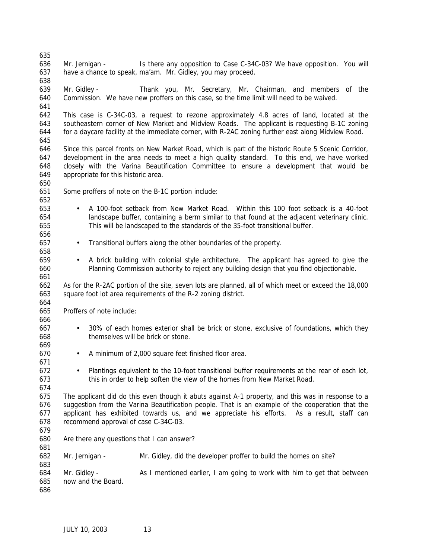Mr. Jernigan - Is there any opposition to Case C-34C-03? We have opposition. You will have a chance to speak, ma'am. Mr. Gidley, you may proceed. Mr. Gidley - Thank you, Mr. Secretary, Mr. Chairman, and members of the Commission. We have new proffers on this case, so the time limit will need to be waived. This case is C-34C-03, a request to rezone approximately 4.8 acres of land, located at the southeastern corner of New Market and Midview Roads. The applicant is requesting B-1C zoning for a daycare facility at the immediate corner, with R-2AC zoning further east along Midview Road. Since this parcel fronts on New Market Road, which is part of the historic Route 5 Scenic Corridor, development in the area needs to meet a high quality standard. To this end, we have worked closely with the Varina Beautification Committee to ensure a development that would be appropriate for this historic area. Some proffers of note on the B-1C portion include: • A 100-foot setback from New Market Road. Within this 100 foot setback is a 40-foot landscape buffer, containing a berm similar to that found at the adjacent veterinary clinic. This will be landscaped to the standards of the 35-foot transitional buffer. • Transitional buffers along the other boundaries of the property. • A brick building with colonial style architecture. The applicant has agreed to give the Planning Commission authority to reject any building design that you find objectionable. As for the R-2AC portion of the site, seven lots are planned, all of which meet or exceed the 18,000 square foot lot area requirements of the R-2 zoning district. Proffers of note include: • 30% of each homes exterior shall be brick or stone, exclusive of foundations, which they themselves will be brick or stone. • A minimum of 2,000 square feet finished floor area. • Plantings equivalent to the 10-foot transitional buffer requirements at the rear of each lot, this in order to help soften the view of the homes from New Market Road. The applicant did do this even though it abuts against A-1 property, and this was in response to a suggestion from the Varina Beautification people. That is an example of the cooperation that the applicant has exhibited towards us, and we appreciate his efforts. As a result, staff can recommend approval of case C-34C-03. Are there any questions that I can answer? Mr. Jernigan - Mr. Gidley, did the developer proffer to build the homes on site? Mr. Gidley - As I mentioned earlier, I am going to work with him to get that between now and the Board.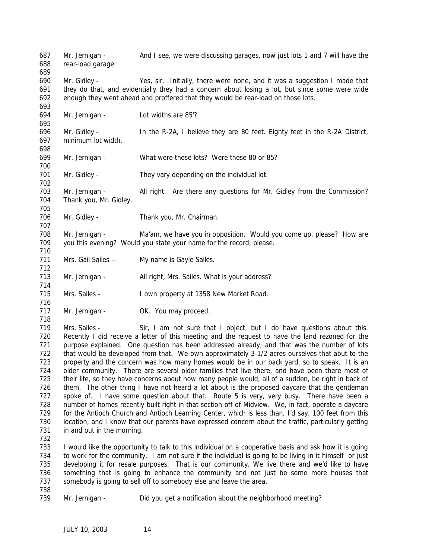Mr. Jernigan - And I see, we were discussing garages, now just lots 1 and 7 will have the rear-load garage. Mr. Gidley - Yes, sir. Initially, there were none, and it was a suggestion I made that they do that, and evidentially they had a concern about losing a lot, but since some were wide enough they went ahead and proffered that they would be rear-load on those lots. Mr. Jernigan - Lot widths are 85'? Mr. Gidley - In the R-2A, I believe they are 80 feet. Eighty feet in the R-2A District, minimum lot width. Mr. Jernigan - What were these lots? Were these 80 or 85? 701 Mr. Gidley - They vary depending on the individual lot. Mr. Jernigan - All right. Are there any questions for Mr. Gidley from the Commission? Thank you, Mr. Gidley. 706 Mr. Gidley - Thank you, Mr. Chairman. Mr. Jernigan - Ma'am, we have you in opposition. Would you come up, please? How are you this evening? Would you state your name for the record, please. 711 Mrs. Gail Sailes -- My name is Gayle Sailes. 713 Mr. Jernigan - All right, Mrs. Sailes. What is your address? Mrs. Sailes - I own property at 1358 New Market Road. 717 Mr. Jernigan - OK. You may proceed. 719 Mrs. Sailes - Sir, I am not sure that I object, but I do have questions about this. Recently I did receive a letter of this meeting and the request to have the land rezoned for the purpose explained. One question has been addressed already, and that was the number of lots that would be developed from that. We own approximately 3-1/2 acres ourselves that abut to the property and the concern was how many homes would be in our back yard, so to speak. It is an older community. There are several older families that live there, and have been there most of their life, so they have concerns about how many people would, all of a sudden, be right in back of them. The other thing I have not heard a lot about is the proposed daycare that the gentleman 727 spoke of. I have some question about that. Route 5 is very, very busy. There have been a number of homes recently built right in that section off of Midview. We, in fact, operate a daycare for the Antioch Church and Antioch Learning Center, which is less than, I'd say, 100 feet from this location, and I know that our parents have expressed concern about the traffic, particularly getting 731 in and out in the morning. I would like the opportunity to talk to this individual on a cooperative basis and ask how it is going to work for the community. I am not sure if the individual is going to be living in it himself or just developing it for resale purposes. That is our community. We live there and we'd like to have something that is going to enhance the community and not just be some more houses that somebody is going to sell off to somebody else and leave the area. Mr. Jernigan - Did you get a notification about the neighborhood meeting?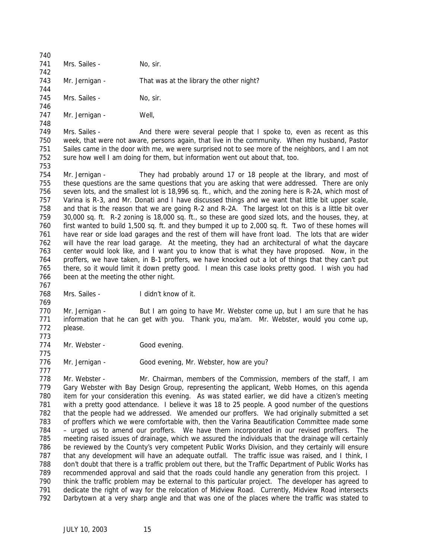| 740 |                |                                          |
|-----|----------------|------------------------------------------|
| 741 | Mrs. Sailes -  | No, sir.                                 |
| 742 |                |                                          |
| 743 | Mr. Jernigan - | That was at the library the other night? |
| 744 |                |                                          |
| 745 | Mrs. Sailes -  | No, sir.                                 |
| 746 |                |                                          |
| 747 | Mr. Jernigan - | Well.                                    |

 749 Mrs. Sailes - And there were several people that I spoke to, even as recent as this week, that were not aware, persons again, that live in the community. When my husband, Pastor Sailes came in the door with me, we were surprised not to see more of the neighbors, and I am not sure how well I am doing for them, but information went out about that, too.

 Mr. Jernigan - They had probably around 17 or 18 people at the library, and most of these questions are the same questions that you are asking that were addressed. There are only seven lots, and the smallest lot is 18,996 sq. ft., which, and the zoning here is R-2A, which most of Varina is R-3, and Mr. Donati and I have discussed things and we want that little bit upper scale, and that is the reason that we are going R-2 and R-2A. The largest lot on this is a little bit over 30,000 sq. ft. R-2 zoning is 18,000 sq. ft., so these are good sized lots, and the houses, they, at first wanted to build 1,500 sq. ft. and they bumped it up to 2,000 sq. ft. Two of these homes will have rear or side load garages and the rest of them will have front load. The lots that are wider will have the rear load garage. At the meeting, they had an architectural of what the daycare center would look like, and I want you to know that is what they have proposed. Now, in the proffers, we have taken, in B-1 proffers, we have knocked out a lot of things that they can't put there, so it would limit it down pretty good. I mean this case looks pretty good. I wish you had been at the meeting the other night.

 Mrs. Sailes - I didn't know of it.

 770 Mr. Jernigan - But I am going to have Mr. Webster come up, but I am sure that he has information that he can get with you. Thank you, ma'am. Mr. Webster, would you come up, please.

774 Mr. Webster - Good evening.

776 Mr. Jernigan - Good evening, Mr. Webster, how are you?

 Mr. Webster - Mr. Chairman, members of the Commission, members of the staff, I am Gary Webster with Bay Design Group, representing the applicant, Webb Homes, on this agenda item for your consideration this evening. As was stated earlier, we did have a citizen's meeting with a pretty good attendance. I believe it was 18 to 25 people. A good number of the questions that the people had we addressed. We amended our proffers. We had originally submitted a set of proffers which we were comfortable with, then the Varina Beautification Committee made some – urged us to amend our proffers. We have them incorporated in our revised proffers. The meeting raised issues of drainage, which we assured the individuals that the drainage will certainly be reviewed by the County's very competent Public Works Division, and they certainly will ensure that any development will have an adequate outfall. The traffic issue was raised, and I think, I don't doubt that there is a traffic problem out there, but the Traffic Department of Public Works has recommended approval and said that the roads could handle any generation from this project. I think the traffic problem may be external to this particular project. The developer has agreed to dedicate the right of way for the relocation of Midview Road. Currently, Midview Road intersects Darbytown at a very sharp angle and that was one of the places where the traffic was stated to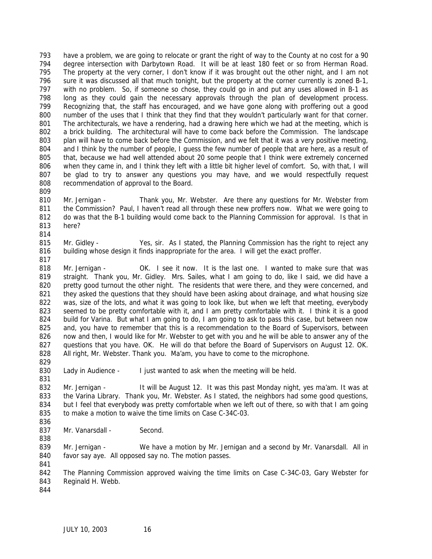have a problem, we are going to relocate or grant the right of way to the County at no cost for a 90 degree intersection with Darbytown Road. It will be at least 180 feet or so from Herman Road. The property at the very corner, I don't know if it was brought out the other night, and I am not sure it was discussed all that much tonight, but the property at the corner currently is zoned B-1, with no problem. So, if someone so chose, they could go in and put any uses allowed in B-1 as long as they could gain the necessary approvals through the plan of development process. Recognizing that, the staff has encouraged, and we have gone along with proffering out a good number of the uses that I think that they find that they wouldn't particularly want for that corner. The architecturals, we have a rendering, had a drawing here which we had at the meeting, which is a brick building. The architectural will have to come back before the Commission. The landscape plan will have to come back before the Commission, and we felt that it was a very positive meeting, and I think by the number of people, I guess the few number of people that are here, as a result of that, because we had well attended about 20 some people that I think were extremely concerned when they came in, and I think they left with a little bit higher level of comfort. So, with that, I will be glad to try to answer any questions you may have, and we would respectfully request recommendation of approval to the Board.

 Mr. Jernigan - Thank you, Mr. Webster. Are there any questions for Mr. Webster from the Commission? Paul, I haven't read all through these new proffers now. What we were going to 812 do was that the B-1 building would come back to the Planning Commission for approval. Is that in here?

 Mr. Gidley - Yes, sir. As I stated, the Planning Commission has the right to reject any building whose design it finds inappropriate for the area. I will get the exact proffer.

 Mr. Jernigan - OK. I see it now. It is the last one. I wanted to make sure that was straight. Thank you, Mr. Gidley. Mrs. Sailes, what I am going to do, like I said, we did have a 820 pretty good turnout the other night. The residents that were there, and they were concerned, and 821 they asked the questions that they should have been asking about drainage, and what housing size 822 was, size of the lots, and what it was going to look like, but when we left that meeting, everybody seemed to be pretty comfortable with it, and I am pretty comfortable with it. I think it is a good build for Varina. But what I am going to do, I am going to ask to pass this case, but between now 825 and, you have to remember that this is a recommendation to the Board of Supervisors, between now and then, I would like for Mr. Webster to get with you and he will be able to answer any of the questions that you have. OK. He will do that before the Board of Supervisors on August 12. OK. All right, Mr. Webster. Thank you. Ma'am, you have to come to the microphone. 

Lady in Audience - I just wanted to ask when the meeting will be held.

 Mr. Jernigan - It will be August 12. It was this past Monday night, yes ma'am. It was at 833 the Varina Library. Thank you, Mr. Webster. As I stated, the neighbors had some good questions, but I feel that everybody was pretty comfortable when we left out of there, so with that I am going to make a motion to waive the time limits on Case C-34C-03. 

837 Mr. Vanarsdall - Second.

 Mr. Jernigan - We have a motion by Mr. Jernigan and a second by Mr. Vanarsdall. All in favor say aye. All opposed say no. The motion passes. 

 The Planning Commission approved waiving the time limits on Case C-34C-03, Gary Webster for Reginald H. Webb.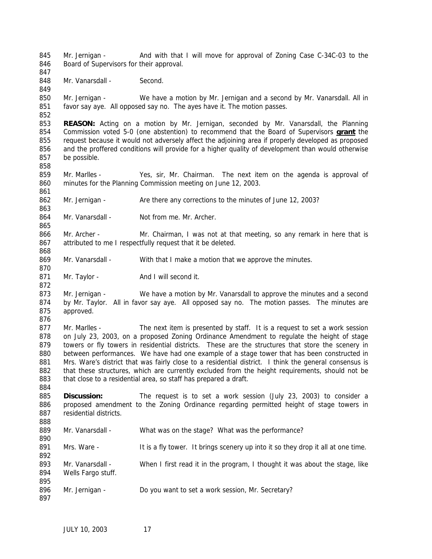845 Mr. Jernigan - And with that I will move for approval of Zoning Case C-34C-03 to the 846 Board of Supervisors for their approval. 848 Mr. Vanarsdall - Second. Mr. Jernigan - We have a motion by Mr. Jernigan and a second by Mr. Vanarsdall. All in favor say aye. All opposed say no. The ayes have it. The motion passes. **REASON:** Acting on a motion by Mr. Jernigan, seconded by Mr. Vanarsdall, the Planning Commission voted 5-0 (one abstention) to recommend that the Board of Supervisors **grant** the request because it would not adversely affect the adjoining area if properly developed as proposed and the proffered conditions will provide for a higher quality of development than would otherwise be possible. Mr. Marlles - Yes, sir, Mr. Chairman. The next item on the agenda is approval of minutes for the Planning Commission meeting on June 12, 2003. Mr. Jernigan - Are there any corrections to the minutes of June 12, 2003? 864 Mr. Vanarsdall - Not from me. Mr. Archer. 866 Mr. Archer - Mr. Chairman, I was not at that meeting, so any remark in here that is attributed to me I respectfully request that it be deleted. 869 Mr. Vanarsdall - With that I make a motion that we approve the minutes. 871 Mr. Taylor - And I will second it. 873 Mr. Jernigan - We have a motion by Mr. Vanarsdall to approve the minutes and a second 874 by Mr. Taylor. All in favor say aye. All opposed say no. The motion passes. The minutes are approved. 877 Mr. Marlles - The next item is presented by staff. It is a request to set a work session on July 23, 2003, on a proposed Zoning Ordinance Amendment to regulate the height of stage towers or fly towers in residential districts. These are the structures that store the scenery in between performances. We have had one example of a stage tower that has been constructed in 881 Mrs. Ware's district that was fairly close to a residential district. I think the general consensus is 882 that these structures, which are currently excluded from the height requirements, should not be 883 that close to a residential area, so staff has prepared a draft. **Discussion:** The request is to set a work session (July 23, 2003) to consider a proposed amendment to the Zoning Ordinance regarding permitted height of stage towers in residential districts. Mr. Vanarsdall - What was on the stage? What was the performance? 891 Mrs. Ware - It is a fly tower. It brings scenery up into it so they drop it all at one time. 893 Mr. Vanarsdall - When I first read it in the program, I thought it was about the stage, like Wells Fargo stuff. 896 Mr. Jernigan - Do you want to set a work session, Mr. Secretary?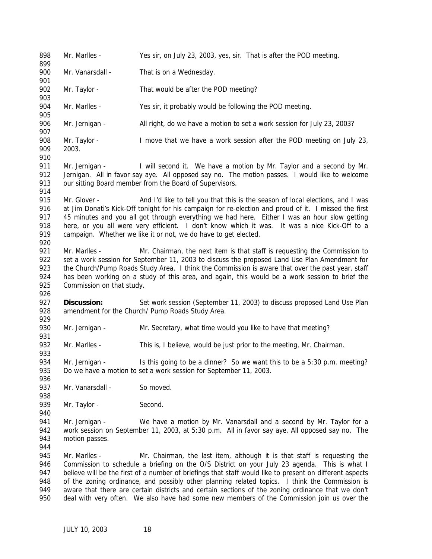Mr. Marlles - Yes sir, on July 23, 2003, yes, sir. That is after the POD meeting. 900 Mr. Vanarsdall - That is on a Wednesday. 902 Mr. Taylor - That would be after the POD meeting? Mr. Marlles - Yes sir, it probably would be following the POD meeting. Mr. Jernigan - All right, do we have a motion to set a work session for July 23, 2003? Mr. Taylor - I move that we have a work session after the POD meeting on July 23, 2003. 911 Mr. Jernigan - I will second it. We have a motion by Mr. Taylor and a second by Mr. 912 Jernigan. All in favor say aye. All opposed say no. The motion passes. I would like to welcome our sitting Board member from the Board of Supervisors. 915 Mr. Glover - And I'd like to tell you that this is the season of local elections, and I was at Jim Donati's Kick-Off tonight for his campaign for re-election and proud of it. I missed the first 917 45 minutes and you all got through everything we had here. Either I was an hour slow getting here, or you all were very efficient. I don't know which it was. It was a nice Kick-Off to a campaign. Whether we like it or not, we do have to get elected. Mr. Marlles - Mr. Chairman, the next item is that staff is requesting the Commission to set a work session for September 11, 2003 to discuss the proposed Land Use Plan Amendment for 923 the Church/Pump Roads Study Area. I think the Commission is aware that over the past year, staff has been working on a study of this area, and again, this would be a work session to brief the Commission on that study. **Discussion:** Set work session (September 11, 2003) to discuss proposed Land Use Plan 928 amendment for the Church/ Pump Roads Study Area. Mr. Jernigan - Mr. Secretary, what time would you like to have that meeting? Mr. Marlles - This is, I believe, would be just prior to the meeting, Mr. Chairman. 934 Mr. Jernigan - Is this going to be a dinner? So we want this to be a 5:30 p.m. meeting? Do we have a motion to set a work session for September 11, 2003. 937 Mr. Vanarsdall - So moved. 939 Mr. Taylor - Second. 941 Mr. Jernigan - We have a motion by Mr. Vanarsdall and a second by Mr. Taylor for a work session on September 11, 2003, at 5:30 p.m. All in favor say aye. All opposed say no. The motion passes. Mr. Marlles - Mr. Chairman, the last item, although it is that staff is requesting the Commission to schedule a briefing on the O/S District on your July 23 agenda. This is what I believe will be the first of a number of briefings that staff would like to present on different aspects 948 of the zoning ordinance, and possibly other planning related topics. I think the Commission is aware that there are certain districts and certain sections of the zoning ordinance that we don't deal with very often. We also have had some new members of the Commission join us over the